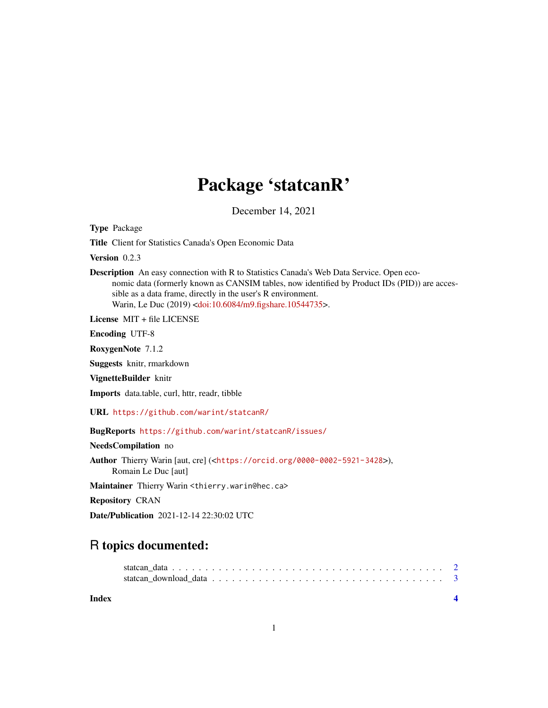# Package 'statcanR'

December 14, 2021

Type Package

Title Client for Statistics Canada's Open Economic Data

Version 0.2.3

Description An easy connection with R to Statistics Canada's Web Data Service. Open economic data (formerly known as CANSIM tables, now identified by Product IDs (PID)) are accessible as a data frame, directly in the user's R environment. Warin, Le Duc (2019) [<doi:10.6084/m9.figshare.10544735>](https://doi.org/10.6084/m9.figshare.10544735).

License MIT + file LICENSE

Encoding UTF-8

RoxygenNote 7.1.2

Suggests knitr, rmarkdown

VignetteBuilder knitr

Imports data.table, curl, httr, readr, tibble

URL <https://github.com/warint/statcanR/>

BugReports <https://github.com/warint/statcanR/issues/>

NeedsCompilation no

Author Thierry Warin [aut, cre] (<<https://orcid.org/0000-0002-5921-3428>>), Romain Le Duc [aut]

Maintainer Thierry Warin <thierry.warin@hec.ca>

Repository CRAN

Date/Publication 2021-12-14 22:30:02 UTC

# R topics documented:

**Index** [4](#page-3-0)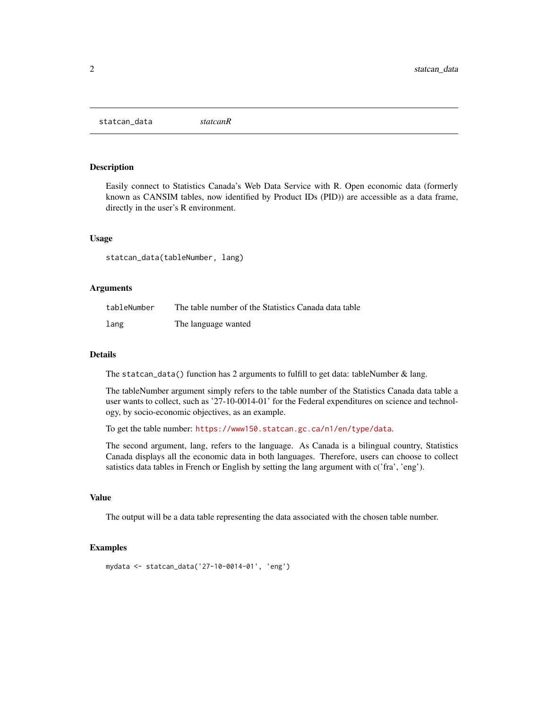<span id="page-1-0"></span>statcan\_data *statcanR*

#### Description

Easily connect to Statistics Canada's Web Data Service with R. Open economic data (formerly known as CANSIM tables, now identified by Product IDs (PID)) are accessible as a data frame, directly in the user's R environment.

#### Usage

statcan\_data(tableNumber, lang)

#### Arguments

| tableNumber | The table number of the Statistics Canada data table |
|-------------|------------------------------------------------------|
| lang        | The language wanted                                  |

#### Details

The statcan\_data() function has 2 arguments to fulfill to get data: tableNumber  $\&$  lang.

The tableNumber argument simply refers to the table number of the Statistics Canada data table a user wants to collect, such as '27-10-0014-01' for the Federal expenditures on science and technology, by socio-economic objectives, as an example.

To get the table number: <https://www150.statcan.gc.ca/n1/en/type/data>.

The second argument, lang, refers to the language. As Canada is a bilingual country, Statistics Canada displays all the economic data in both languages. Therefore, users can choose to collect satistics data tables in French or English by setting the lang argument with c('fra', 'eng').

#### Value

The output will be a data table representing the data associated with the chosen table number.

#### Examples

```
mydata <- statcan_data('27-10-0014-01', 'eng')
```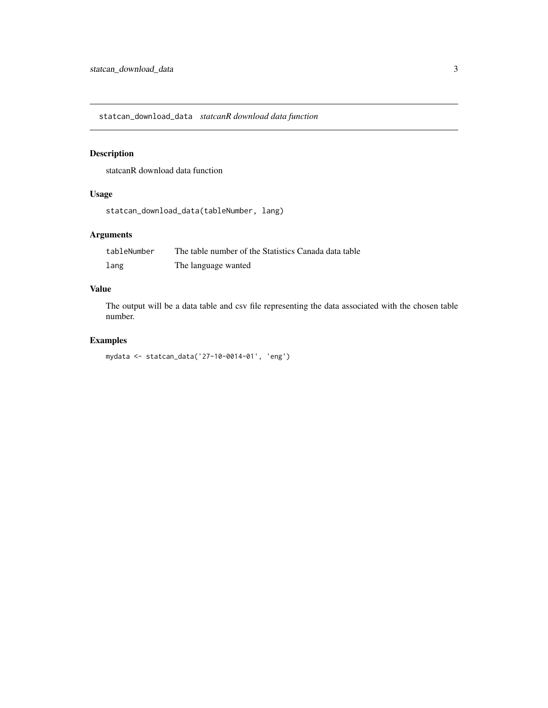<span id="page-2-0"></span>statcan\_download\_data *statcanR download data function*

# Description

statcanR download data function

# Usage

```
statcan_download_data(tableNumber, lang)
```
# Arguments

| tableNumber | The table number of the Statistics Canada data table |
|-------------|------------------------------------------------------|
| lang        | The language wanted                                  |

# Value

The output will be a data table and csv file representing the data associated with the chosen table number.

# Examples

```
mydata <- statcan_data('27-10-0014-01', 'eng')
```